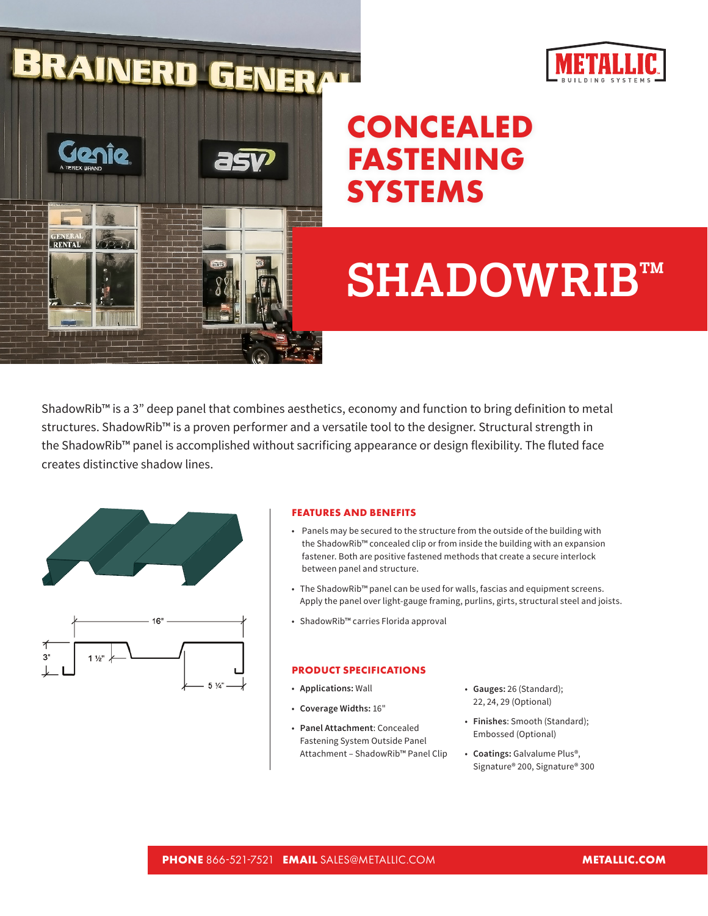



## **CONCEALED FASTENING SYSTEMS**

# **SHADOWRIB™**

ShadowRib™ is a 3" deep panel that combines aesthetics, economy and function to bring definition to metal structures. ShadowRib™ is a proven performer and a versatile tool to the designer. Structural strength in the ShadowRib™ panel is accomplished without sacrificing appearance or design flexibility. The fluted face creates distinctive shadow lines.



#### **FEATURES AND BENEFITS**

- Panels may be secured to the structure from the outside of the building with the ShadowRib™ concealed clip or from inside the building with an expansion fastener. Both are positive fastened methods that create a secure interlock between panel and structure.
- The ShadowRib™ panel can be used for walls, fascias and equipment screens. Apply the panel over light-gauge framing, purlins, girts, structural steel and joists.
- ShadowRib™ carries Florida approval

#### **PRODUCT SPECIFICATIONS**

- **Applications:** Wall
- **Coverage Widths:** 16"
- **Panel Attachment**: Concealed Fastening System Outside Panel Attachment – ShadowRib™ Panel Clip
- **Gauges:** 26 (Standard); 22, 24, 29 (Optional)
- **Finishes**: Smooth (Standard); Embossed (Optional)
- **Coatings:** Galvalume Plus®, Signature® 200, Signature® 300